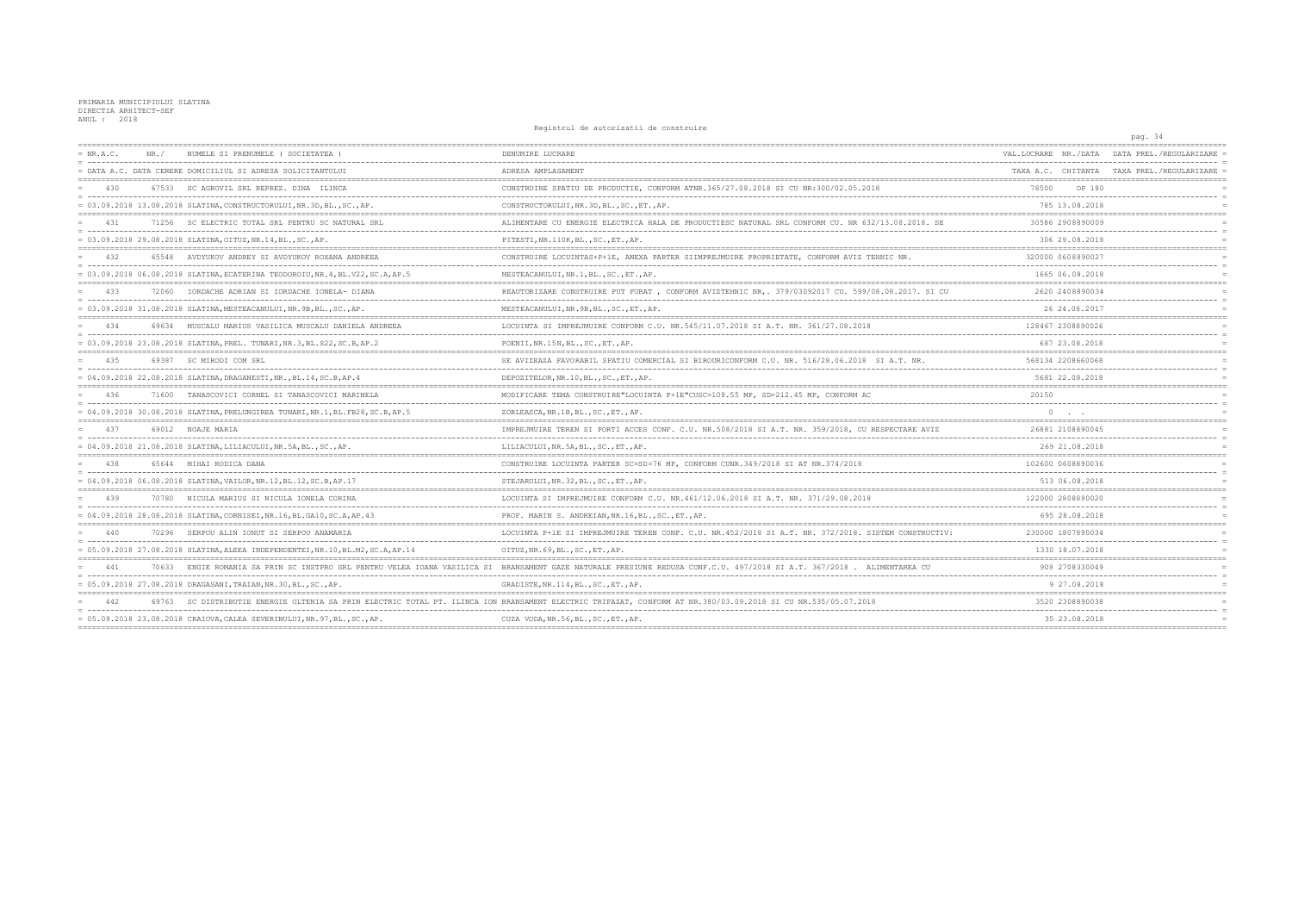|             |       |                                                                                                                                    |                                                                                                      |                                     | pag. 34                 |
|-------------|-------|------------------------------------------------------------------------------------------------------------------------------------|------------------------------------------------------------------------------------------------------|-------------------------------------|-------------------------|
| $= NR.A.C.$ | NR. / | NUMELE SI PRENUMELE ( SOCIETATEA                                                                                                   | DENUMIRE LUCRARE                                                                                     | VAL.LUCRARE NR./DATA                | DATA PREL./REGULARIZARE |
|             |       | = DATA A.C. DATA CERERE DOMICILIUL SI ADRESA SOLICITANTULUI                                                                        | ADRESA AMPLASAMENT                                                                                   | TAXA A.C. CHITANTA TAXA PREL./REGUI |                         |
| 430         |       | 67533 SC AGROVIL SRL REPREZ, DINA ILINCA                                                                                           | CONSTRUIRE SPATIU DE PRODUCTIE, CONFORM ATNR.365/27.08.2018 SI CU NR:300/02.05.2018                  | 78500<br>OP 180                     |                         |
|             |       | = 03.09.2018 13.08.2018 SLATINA, CONSTRUCTORULUI, NR.3D, BL., SC., AP.                                                             | CONSTRUCTORULUI, NR. 3D, BL., SC., ET., AP.                                                          | 785 13.08.2018                      |                         |
| 431         |       | 71256 SC ELECTRIC TOTAL SRL PENTRU SC NATURAL SRL                                                                                  | ALIMENTARE CU ENERGIE ELECTRICA HALA DE PRODUCTIESC NATURAL SRL CONFORM CU. NR 632/13.08.2018. SE    | 30586 2908890009                    |                         |
|             |       | $= 03.09.2018 29.08.2018 SLATINA, OTUZ, NR.14, BL., SC., AP.$                                                                      | PITESTI, NR.110K, BL., SC., ET., AP.                                                                 | 306 29.08.2018                      |                         |
| 432         |       | 65548 AVDYUKOV ANDREY SI AVDYUKOV ROXANA ANDREEA                                                                                   | CONSTRUIRE LOCUINTAS+P+1E, ANEXA PARTER SIIMPREJMUIRE PROPRIETATE, CONFORM AVIZ TEHNIC NR            | 320000 0608890027                   |                         |
|             |       | = 03.09.2018 06.08.2018 SLATINA, ECATERINA TEODOROIU, NR.4, BL.V22, SC.A, AP.5                                                     | MESTEACANULUI, NR.1, BL., SC., ET., AP.                                                              | 1665 06.08.2018                     |                         |
| 433         | 72060 | IORDACHE ADRIAN SI IORDACHE IONELA- DIANA                                                                                          | REAUTORIZARE CONSTRUIRE PUT FORAT, CONFORM AVIZTEHNIC NR, 379/03092017 CU. 599/08.08.2017. SI CU     | 2620 2408890034                     |                         |
|             |       | = 03.09.2018 31.08.2018 SLATINA, MESTEACANULUI, NR.9B, BL., SC., AP.                                                               | MESTEACANULUI, NR. 9B, BL., SC., ET., AP.                                                            | 26 24.08.2017                       |                         |
| 434         |       | 69634 MUSCALU MARIUS VASILICA MUSCALU DANIELA ANDREEA                                                                              | LOCUINTA SI IMPREJMUIRE CONFORM C.U. NR.545/11.07.2018 SI A.T. NR. 361/27.08.2018                    | 128467 2308890026                   |                         |
|             |       | = 03.09.2018 23.08.2018 SLATINA, PREL. TUNARI, NR.3, BL.S22, SC.B, AP.2                                                            | POENII, NR.15N, BL., SC., ET., AP.                                                                   | 687 23.08.2018                      |                         |
| 435         |       | 69387 SC MIRODI COM SRL                                                                                                            | SE AVIZEAZA FAVORABIL SPATIU COMERCIAL SI BIROURICONFORM C.U. NR. 516/28.06.2018 SI A.T. NR.         | 568134 2208660068                   |                         |
|             |       | = 04.09.2018 22.08.2018 SLATINA, DRAGANESTI, NR., BL.14, SC.B, AP.4                                                                | DEPOZITELOR, NR.10, BL., SC., ET., AP.                                                               | 5681 22.08.2018                     |                         |
| 436         |       | 71600 TANASCOVICI CORNEL SI TANASCOVICI MARINELA                                                                                   | MODIFICARE TEMA CONSTRUIRE"LOCUINTA P+1E"CUSC=108.55 MP, SD=212.45 MP, CONFORM AC                    | 20150                               |                         |
|             |       | = 04.09.2018 30.08.2018 SLATINA, PRELUNGIREA TUNARI, NR.1, BL.FB28, SC.B, AP.5                                                     | ZORLEASCA, NR.1B, BL., SC., ET., AP.                                                                 |                                     |                         |
| 437         |       | 69012 NOAJE MARIA                                                                                                                  | IMPREJMUIRE TEREN SI PORTI ACCES CONF. C.U. NR. 508/2018 SI A.T. NR. 359/2018, CU RESPECTARE AVIZ    | 26881 2108890045                    |                         |
|             |       | $= 04.09.2018 21.08.2018 SLATINA, LILIACULUI, NR.5A, BL., SC., AP.$                                                                | LILIACULUI, NR.5A, BL., SC., ET., AP.                                                                | 269 21.08.2018                      |                         |
| 438         |       | 65644 MIHAI RODICA DANA                                                                                                            | CONSTRUIRE LOCUINTA PARTER SC=SD=76 MP, CONFORM CUNR.349/2018 SI AT NR.374/2018                      | 102600 0608890036                   |                         |
|             |       | = 04.09.2018 06.08.2018 SLATINA, VAILOR, NR.12, BL.12, SC.B, AP.17                                                                 | STEJARULUI, NR. 32, BL., SC., ET., AP.                                                               | 513 06.08.2018                      |                         |
| 439         |       | 70780 NICULA MARIUS SI NICULA IONELA CORINA                                                                                        | LOCUINTA SI IMPREJMUIRE CONFORM C.U. NR. 461/12.06.2018 SI A.T. NR. 371/29.08.2018                   | 122000 2808890020                   |                         |
|             |       | = 04.09.2018 28.08.2018 SLATINA, CORNISEI, NR.16, BL.GA10, SC.A, AP.43                                                             | PROF. MARIN S. ANDREIAN, NR. 16, BL., SC., ET., AP.                                                  | 695 28.08.2018                      |                         |
| 440         |       | 70296 SERPOU ALIN IONUT SI SERPOU ANAMARIA                                                                                         | LOCUINTA P+1E SI IMPREJMUIRE TEREN CONF. C.U. NR. 452/2018 SI A.T. NR. 372/2018. SISTEM CONSTRUCTIV: | 230000 1807890034                   |                         |
|             |       | = 05.09.2018 27.08.2018 SLATINA, ALEEA INDEPENDENTEI, NR.10, BL.M2, SC.A, AP.14                                                    | OITUZ, NR. 69, BL., SC., ET., AP.                                                                    | 1330 18.07.2018                     |                         |
| 441         | 70633 | ENGIE ROMANIA SA PRIN SC INSTPRO SRL PENTRU VELEA IOANA VASILICA SI                                                                | BRANSAMENT GAZE NATURALE PRESIUNE REDUSA CONF.C.U. 497/2018 SI A.T. 367/2018 . ALIMENTAREA CU        | 909 2708330049                      |                         |
|             |       | = 05.09.2018 27.08.2018 DRAGASANI, TRAIAN, NR.30, BL., SC., AP                                                                     | GRADISTE, NR. 114, BL., SC., ET., AP.                                                                | 9 27.08.2018                        |                         |
|             |       | SC DISTRIBUTIE ENERGIE OLTENIA SA PRIN ELECTRIC TOTAL PT. ILINCA ION BRANSAMENT ELECTRIC TRIFAZAT, CONFORM AT NR.380/03.09.2018 SI |                                                                                                      | 3520 2308890038                     |                         |
|             |       | $= 05.09.2018 23.08.2018$ CRAIOVA, CALEA SEVERINULUI, NR. 97, BL., SC., AP.                                                        | CUZA VODA, NR.56, BL., SC., ET., AP.                                                                 | 35 23.08.2018                       |                         |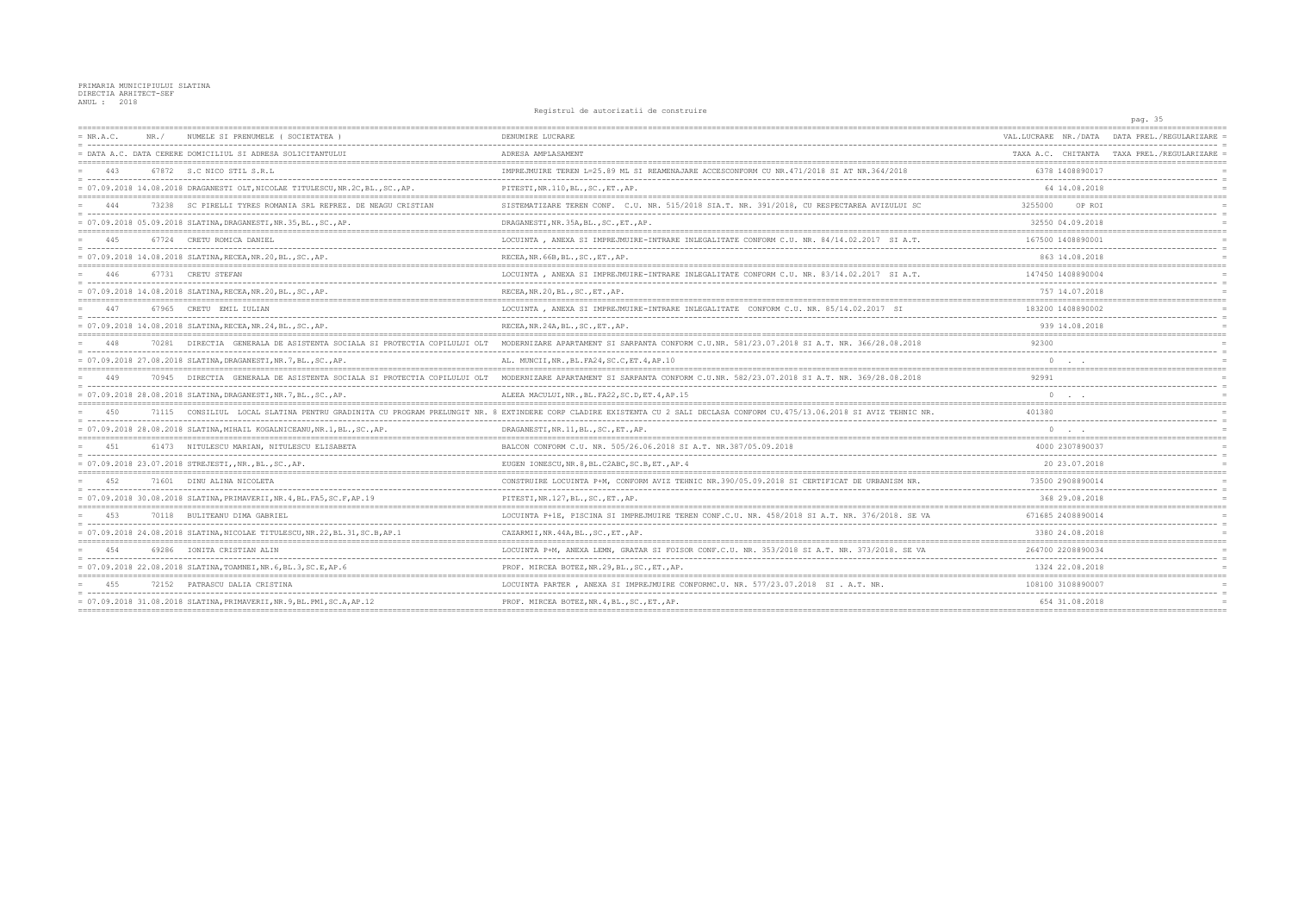|      |                                                                   |                                                                                                                                                                                                                                                                                                                                                                                                                                                                                                                                                                                                                                                                                                                                                                                                                                                                                                                                                                                                                                                                                                                                                                                                                                                                                                                                                                  |                                                                                                                                                                           | pag. 35                                    |
|------|-------------------------------------------------------------------|------------------------------------------------------------------------------------------------------------------------------------------------------------------------------------------------------------------------------------------------------------------------------------------------------------------------------------------------------------------------------------------------------------------------------------------------------------------------------------------------------------------------------------------------------------------------------------------------------------------------------------------------------------------------------------------------------------------------------------------------------------------------------------------------------------------------------------------------------------------------------------------------------------------------------------------------------------------------------------------------------------------------------------------------------------------------------------------------------------------------------------------------------------------------------------------------------------------------------------------------------------------------------------------------------------------------------------------------------------------|---------------------------------------------------------------------------------------------------------------------------------------------------------------------------|--------------------------------------------|
| NR./ | NUMELE SI PRENUMELE (SOCIETATEA)                                  | DENUMIRE LUCRARE                                                                                                                                                                                                                                                                                                                                                                                                                                                                                                                                                                                                                                                                                                                                                                                                                                                                                                                                                                                                                                                                                                                                                                                                                                                                                                                                                 | VAL.LUCRARE NR./DATA                                                                                                                                                      | DATA PREL./REGULARIZARE                    |
|      |                                                                   | ADRESA AMPLASAMENT                                                                                                                                                                                                                                                                                                                                                                                                                                                                                                                                                                                                                                                                                                                                                                                                                                                                                                                                                                                                                                                                                                                                                                                                                                                                                                                                               |                                                                                                                                                                           | TAXA A.C. CHITANTA TAXA PREL./REGULARIZARE |
|      |                                                                   | IMPREJMUIRE TEREN L=25.89 ML SI REAMENAJARE ACCESCONFORM CU NR.471/2018 SI AT NR.364/2018                                                                                                                                                                                                                                                                                                                                                                                                                                                                                                                                                                                                                                                                                                                                                                                                                                                                                                                                                                                                                                                                                                                                                                                                                                                                        | 6378 1408890017                                                                                                                                                           |                                            |
|      |                                                                   | PITESTI, NR.110, BL., SC., ET., AP.                                                                                                                                                                                                                                                                                                                                                                                                                                                                                                                                                                                                                                                                                                                                                                                                                                                                                                                                                                                                                                                                                                                                                                                                                                                                                                                              | 64 14.08.2018                                                                                                                                                             |                                            |
|      |                                                                   | SISTEMATIZARE TEREN CONF. C.U. NR. 515/2018 SIA.T. NR. 391/2018, CU RESPECTAREA AVIZULUI SC                                                                                                                                                                                                                                                                                                                                                                                                                                                                                                                                                                                                                                                                                                                                                                                                                                                                                                                                                                                                                                                                                                                                                                                                                                                                      | 3255000<br>OP ROI                                                                                                                                                         |                                            |
|      |                                                                   | DRAGANESTI, NR. 35A, BL., SC., ET., AP.                                                                                                                                                                                                                                                                                                                                                                                                                                                                                                                                                                                                                                                                                                                                                                                                                                                                                                                                                                                                                                                                                                                                                                                                                                                                                                                          | 32550 04.09.2018                                                                                                                                                          |                                            |
|      |                                                                   | LOCUINTA, ANEXA SI IMPREJMUIRE-INTRARE INLEGALITATE CONFORM C.U. NR. 84/14.02.2017 SI A.T.                                                                                                                                                                                                                                                                                                                                                                                                                                                                                                                                                                                                                                                                                                                                                                                                                                                                                                                                                                                                                                                                                                                                                                                                                                                                       | 167500 1408890001                                                                                                                                                         |                                            |
|      |                                                                   | RECEA, NR. 66B, BL., SC., ET., AP.                                                                                                                                                                                                                                                                                                                                                                                                                                                                                                                                                                                                                                                                                                                                                                                                                                                                                                                                                                                                                                                                                                                                                                                                                                                                                                                               | 863 14.08.2018                                                                                                                                                            |                                            |
|      |                                                                   | LOCUINTA, ANEXA SI IMPREJMUIRE-INTRARE INLEGALITATE CONFORM C.U. NR. 83/14.02.2017 SI A.T.                                                                                                                                                                                                                                                                                                                                                                                                                                                                                                                                                                                                                                                                                                                                                                                                                                                                                                                                                                                                                                                                                                                                                                                                                                                                       | 147450 1408890004                                                                                                                                                         |                                            |
|      |                                                                   | RECEA, NR. 20, BL., SC., ET., AP.                                                                                                                                                                                                                                                                                                                                                                                                                                                                                                                                                                                                                                                                                                                                                                                                                                                                                                                                                                                                                                                                                                                                                                                                                                                                                                                                | 757 14.07.2018                                                                                                                                                            |                                            |
|      |                                                                   | LOCUINTA, ANEXA SI IMPREJMUIRE-INTRARE INLEGALITATE CONFORM C.U. NR. 85/14.02.2017 SI                                                                                                                                                                                                                                                                                                                                                                                                                                                                                                                                                                                                                                                                                                                                                                                                                                                                                                                                                                                                                                                                                                                                                                                                                                                                            | 183200 1408890002                                                                                                                                                         |                                            |
|      |                                                                   | RECEA, NR. 24A, BL., SC., ET., AP.                                                                                                                                                                                                                                                                                                                                                                                                                                                                                                                                                                                                                                                                                                                                                                                                                                                                                                                                                                                                                                                                                                                                                                                                                                                                                                                               | 939 14.08.2018                                                                                                                                                            |                                            |
|      | DIRECTIA GENERALA DE ASISTENTA SOCIALA SI PROTECTIA COPILULUI OLT | MODERNIZARE APARTAMENT SI SARPANTA CONFORM C.U.NR. 581/23.07.2018 SI A.T. NR. 366/28.08.2018                                                                                                                                                                                                                                                                                                                                                                                                                                                                                                                                                                                                                                                                                                                                                                                                                                                                                                                                                                                                                                                                                                                                                                                                                                                                     | 92300                                                                                                                                                                     |                                            |
|      |                                                                   | AL. MUNCII, NR., BL. FA24, SC.C, ET. 4, AP. 10                                                                                                                                                                                                                                                                                                                                                                                                                                                                                                                                                                                                                                                                                                                                                                                                                                                                                                                                                                                                                                                                                                                                                                                                                                                                                                                   |                                                                                                                                                                           |                                            |
|      | DIRECTIA GENERALA DE ASISTENTA SOCIALA SI PROTECTIA COPILULUI OLT | MODERNIZARE APARTAMENT SI SARPANTA CONFORM C.U.NR. 582/23.07.2018 SI A.T. NR. 369/28.08.2018                                                                                                                                                                                                                                                                                                                                                                                                                                                                                                                                                                                                                                                                                                                                                                                                                                                                                                                                                                                                                                                                                                                                                                                                                                                                     | 92991                                                                                                                                                                     |                                            |
|      |                                                                   | ALEEA MACULUI, NR., BL. FA22, SC. D, ET. 4, AP. 15                                                                                                                                                                                                                                                                                                                                                                                                                                                                                                                                                                                                                                                                                                                                                                                                                                                                                                                                                                                                                                                                                                                                                                                                                                                                                                               | $\circ$                                                                                                                                                                   |                                            |
|      |                                                                   |                                                                                                                                                                                                                                                                                                                                                                                                                                                                                                                                                                                                                                                                                                                                                                                                                                                                                                                                                                                                                                                                                                                                                                                                                                                                                                                                                                  | 401380                                                                                                                                                                    |                                            |
|      |                                                                   | DRAGANESTI, NR. 11, BL., SC., ET., AP.                                                                                                                                                                                                                                                                                                                                                                                                                                                                                                                                                                                                                                                                                                                                                                                                                                                                                                                                                                                                                                                                                                                                                                                                                                                                                                                           | $\circ$                                                                                                                                                                   |                                            |
|      |                                                                   | BALCON CONFORM C.U. NR. 505/26.06.2018 SI A.T. NR.387/05.09.2018                                                                                                                                                                                                                                                                                                                                                                                                                                                                                                                                                                                                                                                                                                                                                                                                                                                                                                                                                                                                                                                                                                                                                                                                                                                                                                 | 4000 2307890037                                                                                                                                                           |                                            |
|      |                                                                   | EUGEN IONESCU, NR. 8, BL. C2ABC, SC. B, ET., AP. 4                                                                                                                                                                                                                                                                                                                                                                                                                                                                                                                                                                                                                                                                                                                                                                                                                                                                                                                                                                                                                                                                                                                                                                                                                                                                                                               | 20 23.07.2018                                                                                                                                                             |                                            |
|      |                                                                   | CONSTRUIRE LOCUINTA P+M, CONFORM AVIZ TEHNIC NR.390/05.09.2018 SI CERTIFICAT DE URBANISM NR.                                                                                                                                                                                                                                                                                                                                                                                                                                                                                                                                                                                                                                                                                                                                                                                                                                                                                                                                                                                                                                                                                                                                                                                                                                                                     | 73500 2908890014                                                                                                                                                          |                                            |
|      |                                                                   | PITESTI, NR.127, BL., SC., ET., AP.                                                                                                                                                                                                                                                                                                                                                                                                                                                                                                                                                                                                                                                                                                                                                                                                                                                                                                                                                                                                                                                                                                                                                                                                                                                                                                                              | 368 29.08.2018                                                                                                                                                            |                                            |
|      |                                                                   | LOCUINTA P+1E, PISCINA SI IMPREJMUIRE TEREN CONF.C.U. NR. 458/2018 SI A.T. NR. 376/2018. SE VA                                                                                                                                                                                                                                                                                                                                                                                                                                                                                                                                                                                                                                                                                                                                                                                                                                                                                                                                                                                                                                                                                                                                                                                                                                                                   | 671685 2408890014                                                                                                                                                         |                                            |
|      |                                                                   | CAZARMII, NR. 44A, BL., SC., ET., AP.                                                                                                                                                                                                                                                                                                                                                                                                                                                                                                                                                                                                                                                                                                                                                                                                                                                                                                                                                                                                                                                                                                                                                                                                                                                                                                                            | 3380 24.08.2018                                                                                                                                                           |                                            |
|      | IONITA CRISTIAN ALIN                                              | LOCUINTA P+M, ANEXA LEMN, GRATAR SI FOISOR CONF.C.U. NR. 353/2018 SI A.T. NR. 373/2018. SE VA                                                                                                                                                                                                                                                                                                                                                                                                                                                                                                                                                                                                                                                                                                                                                                                                                                                                                                                                                                                                                                                                                                                                                                                                                                                                    | 264700 2208890034                                                                                                                                                         |                                            |
|      |                                                                   | PROF. MIRCEA BOTEZ, NR.29, BL., SC., ET., AP.                                                                                                                                                                                                                                                                                                                                                                                                                                                                                                                                                                                                                                                                                                                                                                                                                                                                                                                                                                                                                                                                                                                                                                                                                                                                                                                    | 1324 22.08.2018                                                                                                                                                           |                                            |
|      |                                                                   | LOCUINTA PARTER, ANEXA SI IMPREJMUIRE CONFORMC.U. NR. 577/23.07.2018 SI. A.T. NR.                                                                                                                                                                                                                                                                                                                                                                                                                                                                                                                                                                                                                                                                                                                                                                                                                                                                                                                                                                                                                                                                                                                                                                                                                                                                                | 108100 3108890007                                                                                                                                                         |                                            |
|      |                                                                   | PROF. MIRCEA BOTEZ, NR. 4, BL., SC., ET., AP.                                                                                                                                                                                                                                                                                                                                                                                                                                                                                                                                                                                                                                                                                                                                                                                                                                                                                                                                                                                                                                                                                                                                                                                                                                                                                                                    | 654 31.08.2018                                                                                                                                                            |                                            |
|      |                                                                   | = DATA A.C. DATA CERERE DOMICILIUL SI ADRESA SOLICITANTULUI<br>67872 S.C NICO STIL S.R.L<br>$= 07.09.2018$ 14.08.2018 DRAGANESTI OLT, NICOLAE TITULESCU, NR.2C, BL., SC., AP.<br>73238 SC PIRELLI TYRES ROMANIA SRL REPREZ. DE NEAGU CRISTIAN<br>= 07.09.2018 05.09.2018 SLATINA, DRAGANESTI, NR.35, BL., SC., AP.<br>67724 CRETU ROMICA DANIEL<br>= 07.09.2018 14.08.2018 SLATINA, RECEA, NR.20, BL., SC., AP.<br>67731 CRETU STEFAN<br>= 07.09.2018 14.08.2018 SLATINA, RECEA, NR.20, BL., SC., AP<br>67965 CRETU EMIL IULIAN<br>= 07.09.2018 14.08.2018 SLATINA, RECEA, NR.24, BL., SC., AP.<br>70281<br>= 07.09.2018 27.08.2018 SLATINA, DRAGANESTI, NR.7, BL., SC., AP.<br>70945<br>= 07.09.2018 28.08.2018 SLATINA, DRAGANESTI, NR.7, BL., SC., AP.<br>$= 07.09.2018 28.08.2018 SIATING, MHAIL KOGALNICEANU,NR.1, BL., SC., AP.$<br>61473 NITULESCU MARIAN, NITULESCU ELISABETA<br>= 07.09.2018 23.07.2018 STREJESTI,,NR.,BL.,SC.,AP.<br>71601 DINU ALINA NICOLETA<br>= 07.09.2018 30.08.2018 SLATINA, PRIMAVERII, NR.4, BL.FA5, SC.F, AP.19<br>70118 BULITEANU DIMA GABRIEL<br>= 07.09.2018 24.08.2018 SLATINA, NICOLAE TITULESCU, NR.22, BL.31, SC.B, AP.1<br>69286<br>$= 07.09.2018 22.08.2018 SLATINA, TOAMNEI, NR.6, BL.3, SC.E, AP.6$<br>72152 PATRASCU DALIA CRISTINA<br>= 07.09.2018 31.08.2018 SLATINA, PRIMAVERII, NR. 9, BL. PM1, SC. A, AP. 12 | 71115 CONSILIUL LOCAL SLATINA PENTRU GRADINITA CU PROGRAM PRELUNGIT NR. 8 EXTINDERE CORP CLADIRE EXISTENTA CU 2 SALI DECLASA CONFORM CU.475/13.06.2018 SI AVIZ TEHNIC NR. | ncylclul uc uucolluucil uc comoclull       |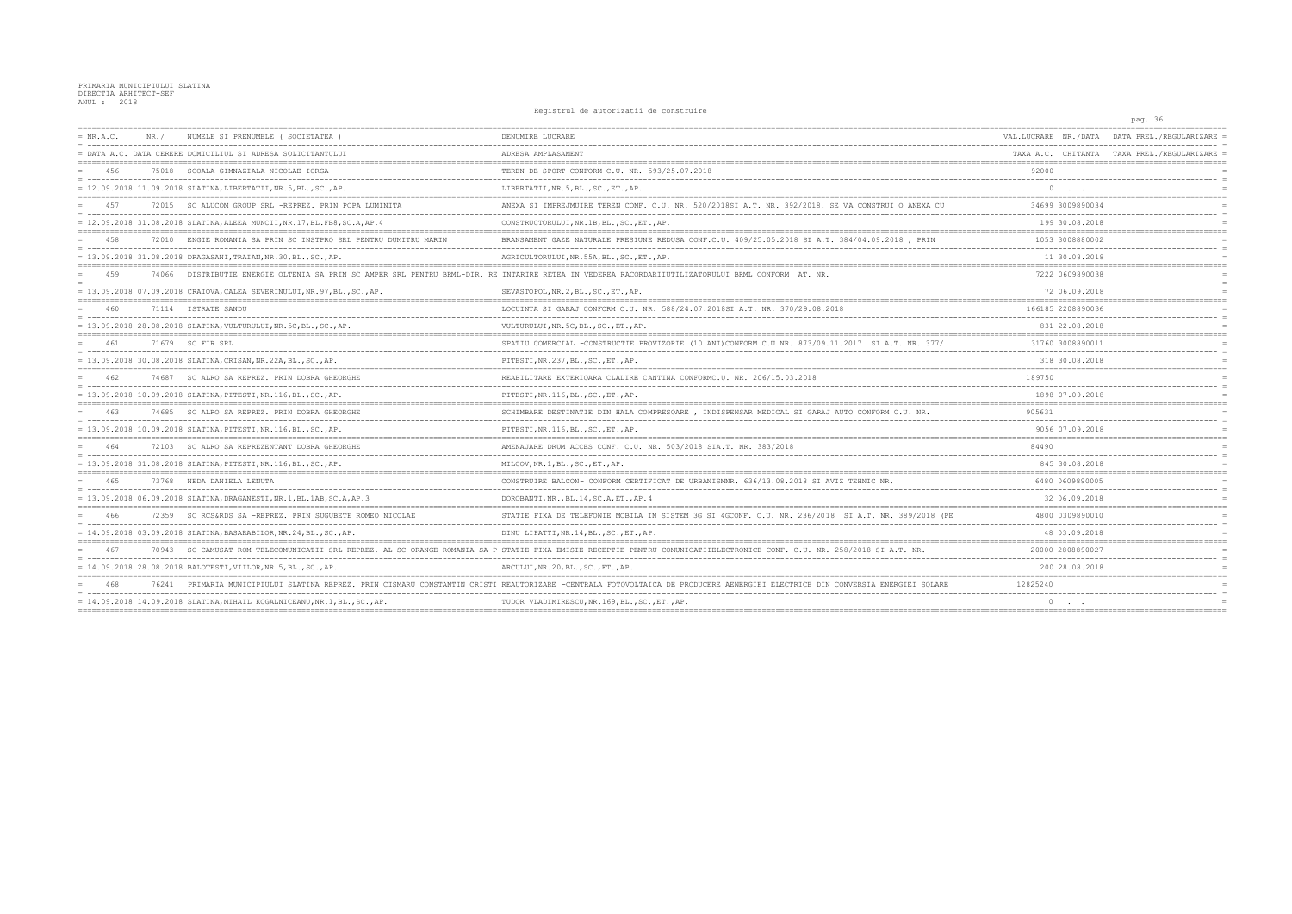|             |       |                                                                             | nographem do ducorredori do conservario                                                                                                                       |                      | pag. 36                                    |
|-------------|-------|-----------------------------------------------------------------------------|---------------------------------------------------------------------------------------------------------------------------------------------------------------|----------------------|--------------------------------------------|
| $= NR.A.C.$ | NR. / | NUMELE SI PRENUMELE ( SOCIETATEA )                                          | DENUMIRE LUCRARE                                                                                                                                              | VAL.LUCRARE NR./DATA | DATA PREL./REGULARIZARE                    |
|             |       | = DATA A.C. DATA CERERE DOMICILIUL SI ADRESA SOLICITANTULUI                 | ADRESA AMPLASAMENT                                                                                                                                            |                      | TAXA A.C. CHITANTA TAXA PREL./REGULARIZARE |
| 456         |       | 75018 SCOALA GIMNAZIALA NICOLAE IORGA                                       | TEREN DE SPORT CONFORM C.U. NR. 593/25.07.2018                                                                                                                | 92000                |                                            |
|             |       | = 12.09.2018 11.09.2018 SLATINA, LIBERTATII, NR.5, BL., SC., AP.            | LIBERTATII, NR. 5, BL., SC., ET., AP.                                                                                                                         |                      |                                            |
| 457         | 72015 | SC ALUCOM GROUP SRL -REPREZ. PRIN POPA LUMINITA                             | ANEXA SI IMPREJMUIRE TEREN CONF. C.U. NR. 520/2018SI A.T. NR. 392/2018. SE VA CONSTRUI O ANEXA CU                                                             | 34699 3009890034     |                                            |
|             |       | = 12.09.2018 31.08.2018 SLATINA, ALEEA MUNCII, NR.17, BL. FB8, SC.A, AP.4   | CONSTRUCTORULUI, NR. 1B, BL., SC., ET., AP.                                                                                                                   | 199 30.08.2018       |                                            |
| 458         |       | 72010 ENGIE ROMANIA SA PRIN SC INSTPRO SRL PENTRU DUMITRU MARIN             | BRANSAMENT GAZE NATURALE PRESIUNE REDUSA CONF.C.U. 409/25.05.2018 SI A.T. 384/04.09.2018, PRIN                                                                | 1053 3008880002      |                                            |
|             |       | = 13.09.2018 31.08.2018 DRAGASANI, TRAIAN, NR.30, BL., SC., AP.             | AGRICULTORULUI, NR. 55A, BL., SC., ET., AP.                                                                                                                   | 11 30.08.2018        |                                            |
| 459         |       |                                                                             | 74066 DISTRIBUTIE ENERGIE OLTENIA SA PRIN SC AMPER SRL PENTRU BRML-DIR. RE INTARIRE RETEA IN VEDEREA RACORDARIIUTILIZATORULUI BRML CONFORM AT. NR.            | 7222 0609890038      |                                            |
|             |       | = $13.09.2018$ 07.09.2018 CRAIOVA, CALEA SEVERINULUI, NR.97, BL., SC., AP.  | SEVASTOPOL, NR.2, BL., SC., ET., AP.                                                                                                                          | 72 06.09.2018        |                                            |
| 460         |       | 71114 ISTRATE SANDU                                                         | LOCUINTA SI GARAJ CONFORM C.U. NR. 588/24.07.2018SI A.T. NR. 370/29.08.2018                                                                                   | 166185 2208890036    |                                            |
|             |       | = 13.09.2018 28.08.2018 SLATINA, VULTURULUI, NR.5C, BL., SC., AP.           | VULTURULUI, NR.5C, BL., SC., ET., AP.                                                                                                                         | 831 22.08.2018       |                                            |
| 461         |       | 71679 SC FIR SRL                                                            | SPATIU COMERCIAL -CONSTRUCTIE PROVIZORIE (10 ANI)CONFORM C.U NR. 873/09.11.2017 SI A.T. NR. 377/                                                              | 31760 3008890011     |                                            |
|             |       | = 13.09.2018 30.08.2018 SLATINA, CRISAN, NR.22A, BL., SC., AP.              | PITESTI, NR. 237, BL., SC., ET., AP.                                                                                                                          | 318 30.08.2018       |                                            |
| 462         | 74687 | SC ALRO SA REPREZ. PRIN DOBRA GHEORGHE                                      | REABILITARE EXTERIOARA CLADIRE CANTINA CONFORMC.U. NR. 206/15.03.2018                                                                                         | 189750               |                                            |
|             |       | = 13.09.2018 10.09.2018 SLATINA, PITESTI, NR.116, BL., SC., AP.             | PITESTI, NR.116, BL., SC., ET., AP.                                                                                                                           | 1898 07.09.2018      |                                            |
| 463         | 74685 | SC ALRO SA REPREZ. PRIN DOBRA GHEORGHE                                      | SCHIMBARE DESTINATIE DIN HALA COMPRESOARE, INDISPENSAR MEDICAL SI GARAJ AUTO CONFORM C.U. NR                                                                  | 905631               |                                            |
|             |       | = 13.09.2018 10.09.2018 SLATINA, PITESTI, NR.116, BL., SC., AP.             | PITESTI, NR.116, BL., SC., ET., AP.                                                                                                                           | 9056 07.09.2018      |                                            |
| 464         |       | 72103 SC ALRO SA REPREZENTANT DOBRA GHEORGHE                                | AMENAJARE DRUM ACCES CONF. C.U. NR. 503/2018 SIA.T. NR. 383/2018                                                                                              | 84490                |                                            |
|             |       | = 13.09.2018 31.08.2018 SLATINA, PITESTI, NR.116, BL., SC., AP.             | MILCOV, NR.1, BL., SC., ET., AP.                                                                                                                              | 845 30.08.2018       |                                            |
| 465         |       | 73768 NEDA DANIELA LENUTA                                                   | CONSTRUIRE BALCON- CONFORM CERTIFICAT DE URBANISMNR. 636/13.08.2018 SI AVIZ TEHNIC NR.                                                                        | 6480 0609890005      |                                            |
|             |       | = 13.09.2018 06.09.2018 SLATINA, DRAGANESTI, NR.1, BL.1AB, SC.A, AP.3       | DOROBANTI, NR., BL.14, SC.A, ET., AP. 4                                                                                                                       | 32 06.09.2018        |                                            |
| 466         |       | 72359 SC RCS&RDS SA -REPREZ. PRIN SUGUBETE ROMEO NICOLAE                    | STATIE FIXA DE TELEFONIE MOBILA IN SISTEM 3G SI 4GCONF. C.U. NR. 236/2018 SI A.T. NR. 389/2018 (PE                                                            | 4800 0309890010      |                                            |
|             |       | = 14.09.2018 03.09.2018 SLATINA, BASARABILOR, NR.24, BL., SC., AP.          | DINU LIPATTI, NR.14, BL., SC., ET., AP.                                                                                                                       | 48 03.09.2018        |                                            |
| 467         | 70943 | SC CAMUSAT ROM TELECOMUNICATII SRL REPREZ. AL SC ORANGE ROMANIA SA          | P STATIE FIXA EMISIE RECEPTIE PENTRU<br>COMUNICATIIELECTRONICE CONF. C.U. NR. 258/2018 SI A.T. NR.                                                            | 20000 2808890027     |                                            |
|             |       | = 14.09.2018 28.08.2018 BALOTESTI, VIILOR, NR.5, BL., SC., AP.              | ARCULUI, NR.20, BL., SC., ET., AP.                                                                                                                            | 200 28.08.2018       |                                            |
| 468         |       |                                                                             | 76241 PRIMARIA MUNICIPIULUI SLATINA REPREZ. PRIN CISMARU CONSTANTIN CRISTI REAUTORIZARE -CENTRALA FOTOVOLTAICA DE PRODUCERE AENERGIEI ELECTRICE DIN CONVERSIA | 12825240             |                                            |
|             |       | $= 14.09.2018$ 14.09.2018 SLATINA, MIHAIL KOGALNICEANU, NR.1, BL., SC., AP. | TUDOR VLADIMIRESCU, NR.169, BL., SC., ET., AP.                                                                                                                | $0 \qquad \qquad .$  |                                            |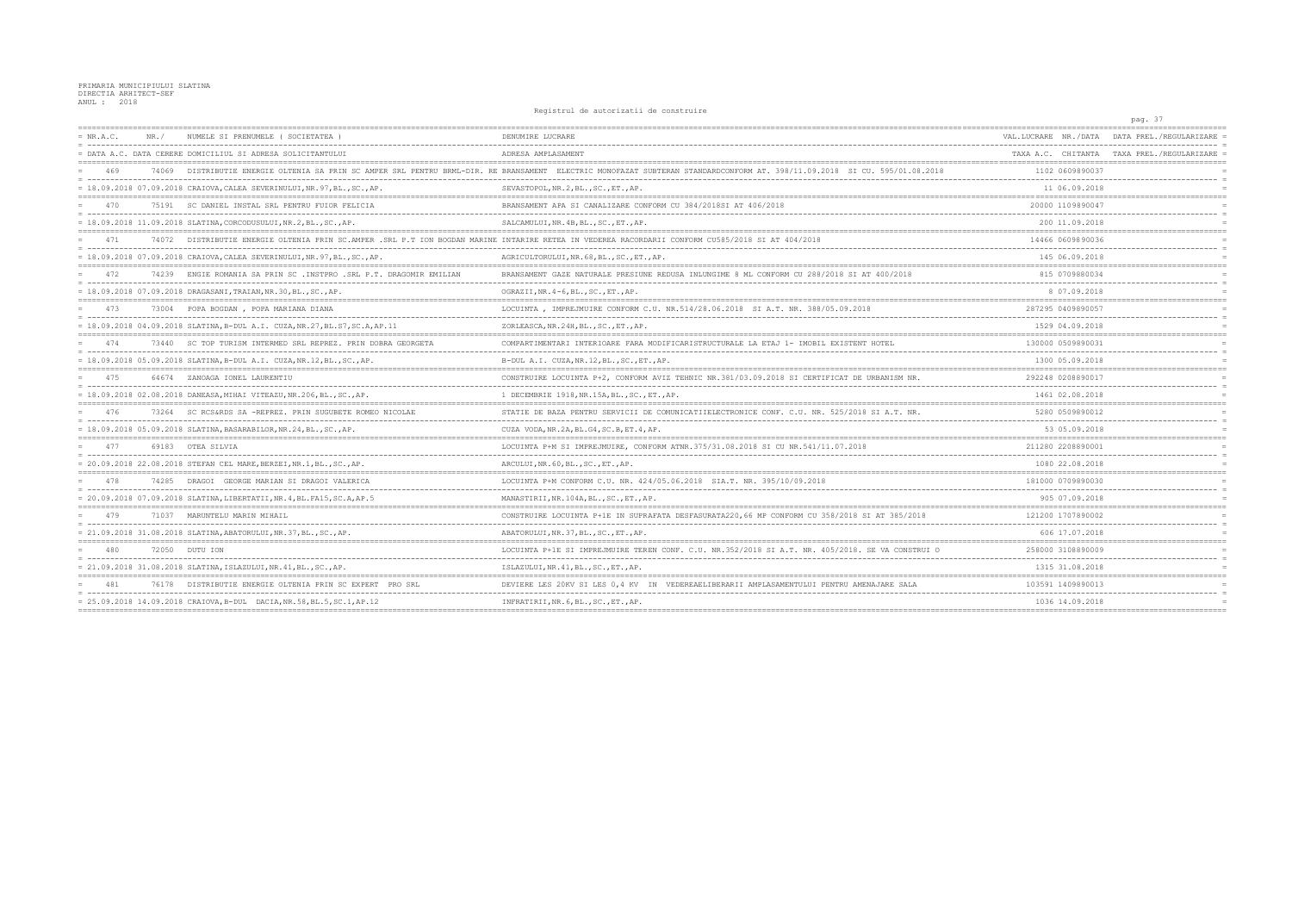|             |       |                                                                             | nogrocraf at autorizativity computativ                                                                                                                               |                      | pag. 37                                    |
|-------------|-------|-----------------------------------------------------------------------------|----------------------------------------------------------------------------------------------------------------------------------------------------------------------|----------------------|--------------------------------------------|
| $= NR.A.C.$ | NR. / | NUMELE SI PRENUMELE (SOCIETATEA)                                            | DENUMIRE LUCRARE                                                                                                                                                     | VAL.LUCRARE NR./DATA | DATA PREL./REGULARIZARE                    |
|             |       | = DATA A.C. DATA CERERE DOMICILIUL SI ADRESA SOLICITANTULUI                 | ADRESA AMPLASAMENT                                                                                                                                                   |                      | TAXA A.C. CHITANTA TAXA PREL./REGULARIZARE |
| 469         | 74069 |                                                                             | DISTRIBUTIE ENERGIE OLTENIA SA PRIN SC AMPER SRL PENTRU BRML-DIR. RE BRANSAMENT ELECTRIC MONOFAZAT SUBTERAN STANDARDCONFORM AT. 398/11.09.2018 SI CU. 595/01.08.2018 | 1102 0609890037      |                                            |
|             |       | = 18.09.2018 07.09.2018 CRAIOVA, CALEA SEVERINULUI, NR. 97, BL., SC., AP.   | SEVASTOPOL, NR.2, BL., SC., ET., AP.                                                                                                                                 | 11 06.09.2018        |                                            |
| 470         |       | 75191 SC DANIEL INSTAL SRL PENTRU FUIOR FELICIA                             | BRANSAMENT APA SI CANALIZARE CONFORM CU 384/2018SI AT 406/2018                                                                                                       | 20000 1109890047     |                                            |
|             |       | = 18.09.2018 11.09.2018 SLATINA, CORCODUSULUI, NR.2, BL., SC., AP.          | SALCAMULUI, NR. 4B, BL., SC., ET., AP.                                                                                                                               | 200 11.09.2018       |                                            |
| 471         |       |                                                                             | 74072 DISTRIBUTIE ENERGIE OLTENIA PRIN SC.AMPER .SRL P.T ION BOGDAN MARINE INTARIRE RETEA IN VEDEREA RACORDARII CONFORM CU585/2018 SI AT 404/2018                    | 14466 0609890036     |                                            |
|             |       | = 18.09.2018 07.09.2018 CRAIOVA, CALEA SEVERINULUI, NR.97, BL., SC., AP.    | AGRICULTORULUI, NR. 68, BL., SC., ET., AP.                                                                                                                           | 145 06.09.2018       |                                            |
| 472         |       | 74239 ENGIE ROMANIA SA PRIN SC .INSTPRO .SRL P.T. DRAGOMIR EMILIAN          | BRANSAMENT GAZE NATURALE PRESIUNE REDUSA INLUNGIME 8 ML CONFORM CU 288/2018 SI AT 400/2018                                                                           | 815 0709880034       |                                            |
|             |       | = 18.09.2018 07.09.2018 DRAGASANI, TRAIAN, NR.30, BL., SC., AP.             | OGRAZII, NR. 4-6, BL., SC., ET., AP.                                                                                                                                 | 8 07.09.2018         |                                            |
| 473         |       | 73004 POPA BOGDAN, POPA MARIANA DIANA                                       | LOCUINTA, IMPREJMUIRE CONFORM C.U. NR.514/28.06.2018 SI A.T. NR. 388/05.09.2018                                                                                      | 287295 0409890057    |                                            |
|             |       | = 18.09.2018 04.09.2018 SLATINA, B-DUL A.I. CUZA, NR.27, BL.S7, SC.A, AP.11 | ZORLEASCA, NR.24H, BL., SC., ET., AP.                                                                                                                                | 1529 04.09.2018      |                                            |
| 474         |       | 73440 SC TOP TURISM INTERMED SRL REPREZ. PRIN DOBRA GEORGETA                | COMPARTIMENTARI INTERIOARE FARA MODIFICARISTRUCTURALE LA ETAJ 1- IMOBIL EXISTENT HOTEL                                                                               | 130000 0509890031    |                                            |
|             |       | = 18.09.2018 05.09.2018 SLATINA, B-DUL A.I. CUZA, NR.12, BL., SC., AP.      | B-DUL A.I. CUZA, NR.12, BL., SC., ET., AP.                                                                                                                           | 1300 05.09.2018      |                                            |
| 475         |       | 64674 ZANOAGA IONEL LAURENTIU                                               | CONSTRUIRE LOCUINTA P+2, CONFORM AVIZ TEHNIC NR.381/03.09.2018 SI CERTIFICAT DE URBANISM NR.                                                                         | 292248 0208890017    |                                            |
|             |       | $= 18.09.2018 02.08.2018$ DANEASA, MIHAI VITEAZU, NR.206, BL., SC., AP.     | 1 DECEMBRIE 1918, NR. 15A, BL., SC., ET., AP.                                                                                                                        | 1461 02.08.2018      |                                            |
| 476         | 73264 | SC RCS&RDS SA -REPREZ. PRIN SUGUBETE ROMEO NICOLAE                          | STATIE DE BAZA PENTRU SERVICII DE COMUNICATIIELECTRONICE CONF. C.U. NR. 525/2018 SI A.T. NR.                                                                         | 5280 0509890012      |                                            |
|             |       | = 18.09.2018 05.09.2018 SLATINA, BASARABILOR, NR.24, BL., SC., AP.          | CUZA VODA, NR. 2A, BL. G4, SC. B, ET. 4, AP.                                                                                                                         | 53 05.09.2018        |                                            |
| 477         |       | 69183 OTEA SILVIA                                                           | LOCUINTA P+M SI IMPREJMUIRE, CONFORM ATNR.375/31.08.2018 SI CU NR.541/11.07.2018                                                                                     | 211280 2208890001    |                                            |
|             |       | = 20.09.2018 22.08.2018 STEFAN CEL MARE, BERZEI, NR.1, BL., SC., AP.        | ARCULUI, NR. 60, BL., SC., ET., AP.                                                                                                                                  | 1080 22.08.2018      |                                            |
| 478         |       | 74285 DRAGOI GEORGE MARIAN SI DRAGOI VALERICA                               | LOCUINTA P+M CONFORM C.U. NR. 424/05.06.2018 SIA.T. NR. 395/10/09.2018                                                                                               | 181000 0709890030    |                                            |
|             |       | = 20.09.2018 07.09.2018 SLATINA, LIBERTATII, NR. 4, BL. FA15, SC. A, AP. 5  | MANASTIRII, NR.104A, BL., SC., ET., AP.                                                                                                                              | 905 07.09.2018       |                                            |
| 479         |       | 71037 MARUNTELU MARIN MIHAIL                                                | CONSTRUIRE LOCUINTA P+1E IN SUPRAFATA DESFASURATA220,66 MP CONFORM CU 358/2018 SI AT 385/2018                                                                        | 121200 1707890002    |                                            |
|             |       | = 21.09.2018 31.08.2018 SLATINA, ABATORULUI, NR.37, BL., SC., AP.           | ABATORULUI, NR. 37, BL., SC., ET., AP.                                                                                                                               | 606 17.07.2018       |                                            |
| 480         |       | 72050 DUTU ION                                                              | LOCUINTA P+1E SI IMPREJMUIRE TEREN CONF. C.U. NR.352/2018 SI A.T. NR. 405/2018. SE VA CONSTRUI O                                                                     | 258000 3108890009    |                                            |
|             |       | = 21.09.2018 31.08.2018 SLATINA, ISLAZULUI, NR.41, BL., SC., AP.            | ISLAZULUI, NR. 41, BL., SC., ET., AP.                                                                                                                                | 1315 31.08.2018      |                                            |
|             |       | DISTRIBUTIE ENERGIE OLTENIA PRIN SC EXPERT                                  | VEDEREAELIBERARII AMPLASAMENTULUI                                                                                                                                    | 103591 1409890013    |                                            |
|             |       | = 25.09.2018 14.09.2018 CRAIOVA, B-DUL DACIA, NR.58, BL.5, SC.1, AP.12      | INFRATIRII, NR. 6, BL., SC., ET., AP.                                                                                                                                | 1036 14.09.2018      |                                            |